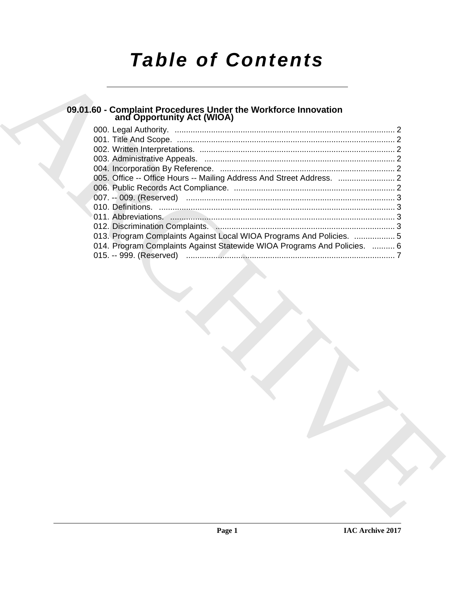# *Table of Contents*

## **09.01.60 - Complaint Procedures Under the Workforce Innovation and Opportunity Act (WIOA)**

| 09.01.60 - Complaint Procedures Under the Workforce Innovation<br>and Opportunity Act (WIOA) |  |
|----------------------------------------------------------------------------------------------|--|
|                                                                                              |  |
|                                                                                              |  |
|                                                                                              |  |
|                                                                                              |  |
|                                                                                              |  |
|                                                                                              |  |
|                                                                                              |  |
|                                                                                              |  |
|                                                                                              |  |
|                                                                                              |  |
| 013. Program Complaints Against Local WIOA Programs And Policies.  5                         |  |
| 014. Program Complaints Against Statewide WIOA Programs And Policies.  6                     |  |
|                                                                                              |  |
|                                                                                              |  |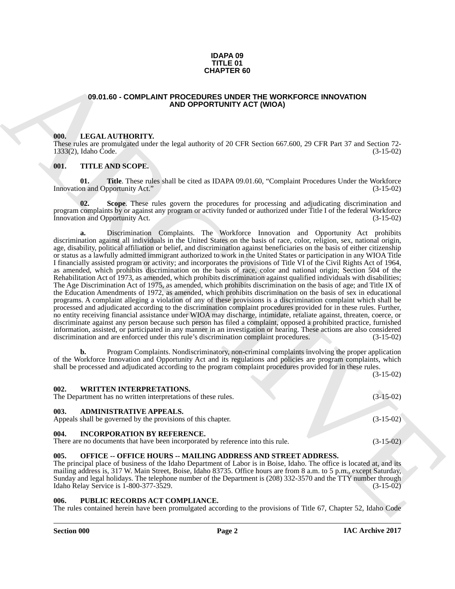#### **IDAPA 09 TITLE 01 CHAPTER 60**

#### <span id="page-1-0"></span>**09.01.60 - COMPLAINT PROCEDURES UNDER THE WORKFORCE INNOVATION AND OPPORTUNITY ACT (WIOA)**

#### <span id="page-1-1"></span>**000. LEGAL AUTHORITY.**

These rules are promulgated under the legal authority of 20 CFR Section 667.600, 29 CFR Part 37 and Section 72- 1333(2), Idaho Code.

#### <span id="page-1-2"></span>**001. TITLE AND SCOPE.**

**01.** Title. These rules shall be cited as IDAPA 09.01.60, "Complaint Procedures Under the Workforce on and Opportunity Act." (3-15-02) Innovation and Opportunity Act."

**Scope**. These rules govern the procedures for processing and adjudicating discrimination and program complaints by or against any program or activity funded or authorized under Title I of the federal Workforce Innovation and Opportunity Act. (3-15-02)

**GEAR OR COMPLAINT PROCEDURES AND THE WORKFORCE INNOVATION<br>
49.0.01.60 - COMPLAINT PROCEDURES MIGHE IN CONSECTIVITY ACT (WOOK)<br>
49.00 COPY CALL ATTHORTY,<br>
49.00 COPY CALL ATTHORTY,<br>
49.00 COPY CALL ATTHORTY,<br>
49.00 COPY C a.** Discrimination Complaints. The Workforce Innovation and Opportunity Act prohibits discrimination against all individuals in the United States on the basis of race, color, religion, sex, national origin, age, disability, political affiliation or belief, and discrimination against beneficiaries on the basis of either citizenship or status as a lawfully admitted immigrant authorized to work in the United States or participation in any WIOA Title I financially assisted program or activity; and incorporates the provisions of Title VI of the Civil Rights Act of 1964, as amended, which prohibits discrimination on the basis of race, color and national origin; Section 504 of the Rehabilitation Act of 1973, as amended, which prohibits discrimination against qualified individuals with disabilities; The Age Discrimination Act of 1975, as amended, which prohibits discrimination on the basis of age; and Title IX of the Education Amendments of 1972, as amended, which prohibits discrimination on the basis of sex in educational programs. A complaint alleging a violation of any of these provisions is a discrimination complaint which shall be processed and adjudicated according to the discrimination complaint procedures provided for in these rules. Further, no entity receiving financial assistance under WIOA may discharge, intimidate, retaliate against, threaten, coerce, or discriminate against any person because such person has filed a complaint, opposed a prohibited practice, furnished information, assisted, or participated in any manner in an investigation or hearing. These actions are also considered discrimination and are enforced under this rule's discrimination complaint procedures. (3-15-02)

**b.** Program Complaints. Nondiscriminatory, non-criminal complaints involving the proper application of the Workforce Innovation and Opportunity Act and its regulations and policies are program complaints, which shall be processed and adjudicated according to the program complaint procedures provided for in these rules.

(3-15-02)

<span id="page-1-4"></span><span id="page-1-3"></span>

| 002.<br><b>WRITTEN INTERPRETATIONS.</b><br>The Department has no written interpretations of these rules.                      | $(3-15-02)$ |  |
|-------------------------------------------------------------------------------------------------------------------------------|-------------|--|
| 003.<br><b>ADMINISTRATIVE APPEALS.</b><br>Appeals shall be governed by the provisions of this chapter.                        | $(3-15-02)$ |  |
| 004.<br><b>INCORPORATION BY REFERENCE.</b><br>There are no documents that have been incorporated by reference into this rule. | $(3-15-02)$ |  |

#### <span id="page-1-6"></span><span id="page-1-5"></span>**005. OFFICE -- OFFICE HOURS -- MAILING ADDRESS AND STREET ADDRESS.**

The principal place of business of the Idaho Department of Labor is in Boise, Idaho. The office is located at, and its mailing address is, 317 W. Main Street, Boise, Idaho 83735. Office hours are from 8 a.m. to 5 p.m., except Saturday, Sunday and legal holidays. The telephone number of the Department is (208) 332-3570 and the TTY number through Idaho Relay Service is 1-800-377-3529. (3-15-02)

#### <span id="page-1-7"></span>PUBLIC RECORDS ACT COMPLIANCE.

The rules contained herein have been promulgated according to the provisions of Title 67, Chapter 52, Idaho Code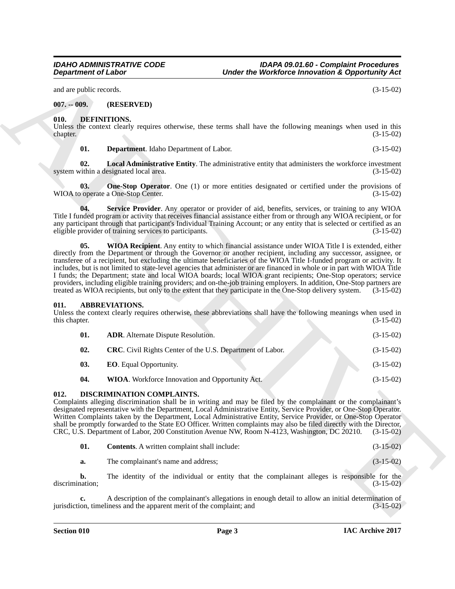*IDAHO ADMINISTRATIVE CODE IDAPA 09.01.60 - Complaint Procedures Under the Workforce Innovation & Opportunity Act* 

and are public records. (3-15-02)

#### <span id="page-2-0"></span>**007. -- 009. (RESERVED)**

#### <span id="page-2-1"></span>**010. DEFINITIONS.**

Unless the context clearly requires otherwise, these terms shall have the following meanings when used in this chapter. (3-15-02)  $\alpha$ chapter. (3-15-02)

<span id="page-2-10"></span><span id="page-2-9"></span><span id="page-2-8"></span>**01. Department**. Idaho Department of Labor. (3-15-02)

**02. Local Administrative Entity**. The administrative entity that administers the workforce investment system within a designated local area. (3-15-02)

**03.** One-Stop Operator. One (1) or more entities designated or certified under the provisions of WIOA to operate a One-Stop Center. (3-15-02)

<span id="page-2-12"></span><span id="page-2-11"></span>**04. Service Provider**. Any operator or provider of aid, benefits, services, or training to any WIOA Title I funded program or activity that receives financial assistance either from or through any WIOA recipient, or for any participant through that participant's Individual Training Account; or any entity that is selected or certified as an eligible provider of training services to participants. (3-15-02)

**Department of Labor. Under the Weithere thrownton's Constraints of Laboration's Construction**<br>
(a) The Construction Construction Construction Construction Construction Construction Construction Construction<br>
(a) Depart **05. WIOA Recipient**. Any entity to which financial assistance under WIOA Title I is extended, either directly from the Department or through the Governor or another recipient, including any successor, assignee, or transferee of a recipient, but excluding the ultimate beneficiaries of the WIOA Title I-funded program or activity. It includes, but is not limited to state-level agencies that administer or are financed in whole or in part with WIOA Title I funds; the Department; state and local WIOA boards; local WIOA grant recipients; One-Stop operators; service providers, including eligible training providers; and on-the-job training employers. In addition, One-Stop partners are treated as WIOA recipients, but only to the extent that they participate in the One-Stop delivery syst treated as WIOA recipients, but only to the extent that they participate in the One-Stop delivery system.

#### <span id="page-2-2"></span>**011. ABBREVIATIONS.**

Unless the context clearly requires otherwise, these abbreviations shall have the following meanings when used in this chapter. (3-15-02)

<span id="page-2-7"></span><span id="page-2-6"></span><span id="page-2-5"></span><span id="page-2-4"></span>

| 01. | <b>ADR.</b> Alternate Dispute Resolution.                        | $(3-15-02)$ |
|-----|------------------------------------------------------------------|-------------|
| 02. | <b>CRC.</b> Civil Rights Center of the U.S. Department of Labor. | $(3-15-02)$ |
| 03. | <b>EO.</b> Equal Opportunity.                                    | $(3-15-02)$ |
| 04. | <b>WIOA</b> . Workforce Innovation and Opportunity Act.          | $(3-15-02)$ |

#### <span id="page-2-3"></span>**012. DISCRIMINATION COMPLAINTS.**

Complaints alleging discrimination shall be in writing and may be filed by the complainant or the complainant's designated representative with the Department, Local Administrative Entity, Service Provider, or One-Stop Operator. Written Complaints taken by the Department, Local Administrative Entity, Service Provider, or One-Stop Operator shall be promptly forwarded to the State EO Officer. Written complaints may also be filed directly with the Director, CRC, U.S. Department of Labor, 200 Constitution Avenue NW, Room N-4123, Washington, DC 20210. (3-15-02)

<span id="page-2-13"></span>

| 01. | <b>Contents.</b> A written complaint shall include: |  |  |
|-----|-----------------------------------------------------|--|--|
|     |                                                     |  |  |

**a.** The complainant's name and address; (3-15-02)

**b.** The identity of the individual or entity that the complainant alleges is responsible for the discrimination; (3-15-02)

A description of the complainant's allegations in enough detail to allow an initial determination of iness and the apparent merit of the complaint; and  $(3-15-02)$ jurisdiction, timeliness and the apparent merit of the complaint; and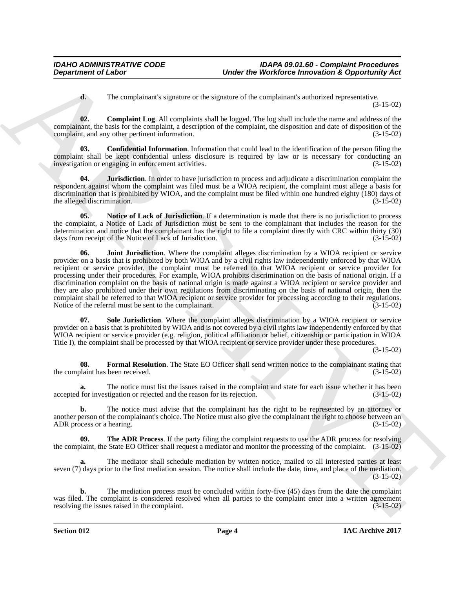<span id="page-3-2"></span><span id="page-3-1"></span>**d.** The complainant's signature or the signature of the complainant's authorized representative. (3-15-02)

**02. Complaint Log**. All complaints shall be logged. The log shall include the name and address of the complainant, the basis for the complaint, a description of the complaint, the disposition and date of disposition of the complaint, and any other pertinent information.

**03. Confidential Information**. Information that could lead to the identification of the person filing the complaint shall be kept confidential unless disclosure is required by law or is necessary for conducting an investigation or engaging in enforcement activities. (3-15-02) investigation or engaging in enforcement activities.

<span id="page-3-5"></span>**04. Jurisdiction**. In order to have jurisdiction to process and adjudicate a discrimination complaint the respondent against whom the complaint was filed must be a WIOA recipient, the complaint must allege a basis for discrimination that is prohibited by WIOA, and the complaint must be filed within one hundred eighty (180) days of the alleged discrimination. (3-15-02) the alleged discrimination.

<span id="page-3-6"></span><span id="page-3-4"></span>**05.** Notice of Lack of Jurisdiction. If a determination is made that there is no jurisdiction to process the complaint, a Notice of Lack of Jurisdiction must be sent to the complainant that includes the reason for the determination and notice that the complainant has the right to file a complaint directly with CRC within thirty (30) days from receipt of the Notice of Lack of Jurisdiction.

**Department of Labor<br>
The complishment of signature of the complishment of the complishment of the complishment of the complishment of the signature of the complishment of the signature of the complishment of the signatur 06. Joint Jurisdiction**. Where the complaint alleges discrimination by a WIOA recipient or service provider on a basis that is prohibited by both WIOA and by a civil rights law independently enforced by that WIOA recipient or service provider, the complaint must be referred to that WIOA recipient or service provider for processing under their procedures. For example, WIOA prohibits discrimination on the basis of national origin. If a discrimination complaint on the basis of national origin is made against a WIOA recipient or service provider and they are also prohibited under their own regulations from discriminating on the basis of national origin, then the complaint shall be referred to that WIOA recipient or service provider for processing according to their regulations. Notice of the referral must be sent to the complainant. (3-15-02)

<span id="page-3-7"></span>**07. Sole Jurisdiction**. Where the complaint alleges discrimination by a WIOA recipient or service provider on a basis that is prohibited by WIOA and is not covered by a civil rights law independently enforced by that WIOA recipient or service provider (e.g. religion, political affiliation or belief, citizenship or participation in WIOA Title I), the complaint shall be processed by that WIOA recipient or service provider under these procedures.

(3-15-02)

<span id="page-3-3"></span>**08. Formal Resolution**. The State EO Officer shall send written notice to the complainant stating that laint has been received. (3-15-02) the complaint has been received.

**a.** The notice must list the issues raised in the complaint and state for each issue whether it has been for investigation or rejected and the reason for its rejection. (3-15-02) accepted for investigation or rejected and the reason for its rejection.

**b.** The notice must advise that the complainant has the right to be represented by an attorney or another person of the complainant's choice. The Notice must also give the complainant the right to choose between an ADR process or a hearing. (3-15-02) ADR process or a hearing.

<span id="page-3-0"></span>**The ADR Process.** If the party filing the complaint requests to use the ADR process for resolving the complaint, the State EO Officer shall request a mediator and monitor the processing of the complaint. (3-15-02)

**a.** The mediator shall schedule mediation by written notice, mailed to all interested parties at least seven (7) days prior to the first mediation session. The notice shall include the date, time, and place of the mediation.  $(3-15-02)$ 

**b.** The mediation process must be concluded within forty-five (45) days from the date the complaint was filed. The complaint is considered resolved when all parties to the complaint enter into a written agreement resolving the issues raised in the complaint. (3-15-02) resolving the issues raised in the complaint.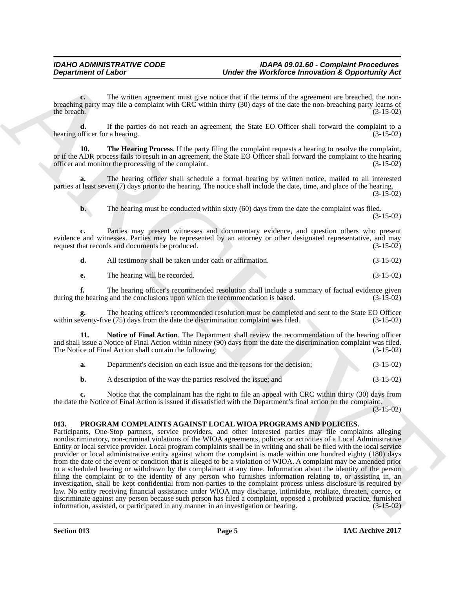**c.** The written agreement must give notice that if the terms of the agreement are breached, the nonbreaching party may file a complaint with CRC within thirty (30) days of the date the non-breaching party learns of the breach.  $(3-15-02)$ the breach.  $(3-15-02)$ 

**d.** If the parties do not reach an agreement, the State EO Officer shall forward the complaint to a officer for a hearing. (3-15-02) hearing officer for a hearing.

<span id="page-4-1"></span>**10. The Hearing Process**. If the party filing the complaint requests a hearing to resolve the complaint, or if the ADR process fails to result in an agreement, the State EO Officer shall forward the complaint to the hearing officer and monitor the processing of the complaint. (3-15-02)

**a.** The hearing officer shall schedule a formal hearing by written notice, mailed to all interested parties at least seven (7) days prior to the hearing. The notice shall include the date, time, and place of the hearing. (3-15-02)

**b.** The hearing must be conducted within sixty (60) days from the date the complaint was filed. (3-15-02)

**c.** Parties may present witnesses and documentary evidence, and question others who present evidence and witnesses. Parties may be represented by an attorney or other designated representative, and may request that records and documents be produced. (3-15-02) request that records and documents be produced.

| d. | All testimony shall be taken under oath or affirmation. | $(3-15-02)$ |
|----|---------------------------------------------------------|-------------|
|----|---------------------------------------------------------|-------------|

**e.** The hearing will be recorded. (3-15-02)

**f.** The hearing officer's recommended resolution shall include a summary of factual evidence given be hearing and the conclusions upon which the recommendation is based.  $(3-15-02)$ during the hearing and the conclusions upon which the recommendation is based.

The hearing officer's recommended resolution must be completed and sent to the State EO Officer ve (75) days from the date the discrimination complaint was filed. (3-15-02) within seventy-five  $(75)$  days from the date the discrimination complaint was filed.

**11. Notice of Final Action**. The Department shall review the recommendation of the hearing officer and shall issue a Notice of Final Action within ninety (90) days from the date the discrimination complaint was filed.<br>The Notice of Final Action shall contain the following: (3-15-02) The Notice of Final Action shall contain the following:

<span id="page-4-2"></span>**a.** Department's decision on each issue and the reasons for the decision; (3-15-02) **b.** A description of the way the parties resolved the issue; and (3-15-02)

**c.** Notice that the complainant has the right to file an appeal with CRC within thirty (30) days from the date the Notice of Final Action is issued if dissatisfied with the Department's final action on the complaint.

 $(3-15-02)$ 

#### <span id="page-4-0"></span>**013. PROGRAM COMPLAINTS AGAINST LOCAL WIOA PROGRAMS AND POLICIES.**

Department of Labor<br>
The valid agenction is the best for the state of the term of the state of the state of the state of the state of the state of the state of the state of the state of the state of the state of the state Participants, One-Stop partners, service providers, and other interested parties may file complaints alleging nondiscriminatory, non-criminal violations of the WIOA agreements, policies or activities of a Local Administrative Entity or local service provider. Local program complaints shall be in writing and shall be filed with the local service provider or local administrative entity against whom the complaint is made within one hundred eighty (180) days from the date of the event or condition that is alleged to be a violation of WIOA. A complaint may be amended prior to a scheduled hearing or withdrawn by the complainant at any time. Information about the identity of the person filing the complaint or to the identity of any person who furnishes information relating to, or assisting in, an investigation, shall be kept confidential from non-parties to the complaint process unless disclosure is required by law. No entity receiving financial assistance under WIOA may discharge, intimidate, retaliate, threaten, coerce, or discriminate against any person because such person has filed a complaint, opposed a prohibited practice, furnished information, assisted, or participated in any manner in an investigation or hearing. (3-15-02) information, assisted, or participated in any manner in an investigation or hearing.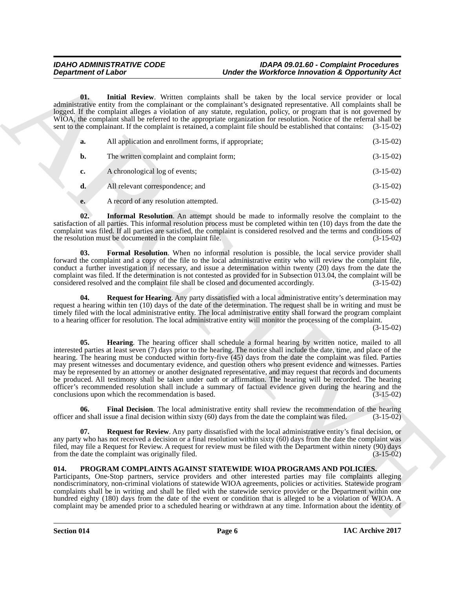#### <span id="page-5-5"></span><span id="page-5-4"></span><span id="page-5-2"></span>*IDAHO ADMINISTRATIVE CODE IDAPA 09.01.60 - Complaint Procedures Under the Workforce Innovation & Opportunity Act*

|      | <b>Department of Labor</b>                               | Under the Workforce Innovation & Opportunity Act                                                                                                                                                                                                                                                                                                                                                                                                                                                                                                                                                                                                                                                                                                                                                                             |                                                                                                                                                                                                                                          |
|------|----------------------------------------------------------|------------------------------------------------------------------------------------------------------------------------------------------------------------------------------------------------------------------------------------------------------------------------------------------------------------------------------------------------------------------------------------------------------------------------------------------------------------------------------------------------------------------------------------------------------------------------------------------------------------------------------------------------------------------------------------------------------------------------------------------------------------------------------------------------------------------------------|------------------------------------------------------------------------------------------------------------------------------------------------------------------------------------------------------------------------------------------|
| 01.  |                                                          | Initial Review. Written complaints shall be taken by the local service provider or local<br>administrative entity from the complainant or the complainant's designated representative. All complaints shall be<br>logged. If the complaint alleges a violation of any statute, regulation, policy, or program that is not governed by<br>WIOA, the complaint shall be referred to the appropriate organization for resolution. Notice of the referral shall be<br>sent to the complainant. If the complaint is retained, a complaint file should be established that contains:                                                                                                                                                                                                                                               | $(3-15-02)$                                                                                                                                                                                                                              |
| a.   | All application and enrollment forms, if appropriate;    |                                                                                                                                                                                                                                                                                                                                                                                                                                                                                                                                                                                                                                                                                                                                                                                                                              | $(3-15-02)$                                                                                                                                                                                                                              |
| b.   | The written complaint and complaint form;                |                                                                                                                                                                                                                                                                                                                                                                                                                                                                                                                                                                                                                                                                                                                                                                                                                              | $(3-15-02)$                                                                                                                                                                                                                              |
| c.   | A chronological log of events;                           |                                                                                                                                                                                                                                                                                                                                                                                                                                                                                                                                                                                                                                                                                                                                                                                                                              | $(3-15-02)$                                                                                                                                                                                                                              |
| d.   | All relevant correspondence; and                         |                                                                                                                                                                                                                                                                                                                                                                                                                                                                                                                                                                                                                                                                                                                                                                                                                              | $(3-15-02)$                                                                                                                                                                                                                              |
| e.   | A record of any resolution attempted.                    |                                                                                                                                                                                                                                                                                                                                                                                                                                                                                                                                                                                                                                                                                                                                                                                                                              | $(3-15-02)$                                                                                                                                                                                                                              |
| 02.  | the resolution must be documented in the complaint file. | <b>Informal Resolution.</b> An attempt should be made to informally resolve the complaint to the<br>satisfaction of all parties. This informal resolution process must be completed within ten (10) days from the date the<br>complaint was filed. If all parties are satisfied, the complaint is considered resolved and the terms and conditions of                                                                                                                                                                                                                                                                                                                                                                                                                                                                        | $(3-15-02)$                                                                                                                                                                                                                              |
| 03.  |                                                          | Formal Resolution. When no informal resolution is possible, the local service provider shall<br>forward the complaint and a copy of the file to the local administrative entity who will review the complaint file,<br>conduct a further investigation if necessary, and issue a determination within twenty (20) days from the date the<br>complaint was filed. If the determination is not contested as provided for in Subsection 013.04, the complaint will be<br>considered resolved and the complaint file shall be closed and documented accordingly.                                                                                                                                                                                                                                                                 | $(3-15-02)$                                                                                                                                                                                                                              |
| 04.  |                                                          | Request for Hearing. Any party dissatisfied with a local administrative entity's determination may<br>request a hearing within ten (10) days of the date of the determination. The request shall be in writing and must be<br>timely filed with the local administrative entity. The local administrative entity shall forward the program complaint<br>to a hearing officer for resolution. The local administrative entity will monitor the processing of the complaint.                                                                                                                                                                                                                                                                                                                                                   | $(3-15-02)$                                                                                                                                                                                                                              |
| 05.  | conclusions upon which the recommendation is based.      | Hearing. The hearing officer shall schedule a formal hearing by written notice, mailed to all<br>interested parties at least seven (7) days prior to the hearing. The notice shall include the date, time, and place of the<br>hearing. The hearing must be conducted within forty-five (45) days from the date the complaint was filed. Parties<br>may present witnesses and documentary evidence, and question others who present evidence and witnesses. Parties<br>may be represented by an attorney or another designated representative, and may request that records and documents<br>be produced. All testimony shall be taken under oath or affirmation. The hearing will be recorded. The hearing<br>officer's recommended resolution shall include a summary of factual evidence given during the hearing and the | $(3-15-02)$                                                                                                                                                                                                                              |
| 06.  |                                                          | Final Decision. The local administrative entity shall review the recommendation of the hearing<br>officer and shall issue a final decision within sixty (60) days from the date the complaint was filed.                                                                                                                                                                                                                                                                                                                                                                                                                                                                                                                                                                                                                     | $(3-15-02)$                                                                                                                                                                                                                              |
| 07.  | from the date the complaint was originally filed.        | <b>Request for Review.</b> Any party dissatisfied with the local administrative entity's final decision, or<br>any party who has not received a decision or a final resolution within sixty (60) days from the date the complaint was<br>filed, may file a Request for Review. A request for review must be filed with the Department within ninety (90) days                                                                                                                                                                                                                                                                                                                                                                                                                                                                | $(3-15-02)$                                                                                                                                                                                                                              |
| 014. |                                                          | PROGRAM COMPLAINTS AGAINST STATEWIDE WIOA PROGRAMS AND POLICIES.<br>Participants, One-Stop partners, service providers and other interested parties may file complaints alleging                                                                                                                                                                                                                                                                                                                                                                                                                                                                                                                                                                                                                                             | nondiscriminatory, non-criminal violations of statewide WIOA agreements, policies or activities. Statewide program<br>complaints shall be in writing and shall be filed with the statewide service provider or the Department within one |

### <span id="page-5-7"></span><span id="page-5-6"></span><span id="page-5-3"></span><span id="page-5-1"></span><span id="page-5-0"></span>**014. PROGRAM COMPLAINTS AGAINST STATEWIDE WIOA PROGRAMS AND POLICIES.**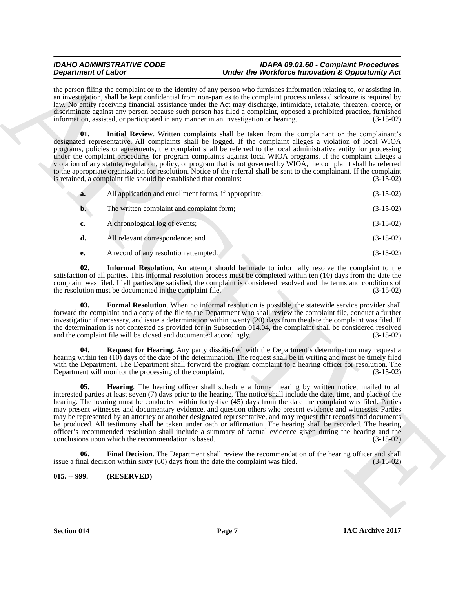#### *IDAHO ADMINISTRATIVE CODE IDAPA 09.01.60 - Complaint Procedures Under the Workforce Innovation & Opportunity Act*

the person filing the complaint or to the identity of any person who furnishes information relating to, or assisting in, an investigation, shall be kept confidential from non-parties to the complaint process unless disclosure is required by law. No entity receiving financial assistance under the Act may discharge, intimidate, retaliate, threaten, coerce, or discriminate against any person because such person has filed a complaint, opposed a prohibited practice, furnished information, assisted, or participated in any manner in an investigation or hearing. (3-15-02)

<span id="page-6-5"></span>**01.** Initial Review. Written complaints shall be taken from the complainant or the complainant's designated representative. All complaints shall be logged. If the complaint alleges a violation of local WIOA programs, policies or agreements, the complaint shall be referred to the local administrative entity for processing under the complaint procedures for program complaints against local WIOA programs. If the complaint alleges a violation of any statute, regulation, policy, or program that is not governed by WIOA, the complaint shall be referred to the appropriate organization for resolution. Notice of the referral shall be sent to the complainant. If the complaint is retained, a complaint file should be established that contains: (3-15-02) is retained, a complaint file should be established that contains:

| a.             | All application and enrollment forms, if appropriate; | $(3-15-02)$ |
|----------------|-------------------------------------------------------|-------------|
| $\mathbf{b}$ . | The written complaint and complaint form;             | $(3-15-02)$ |
| c.             | A chronological log of events;                        | $(3-15-02)$ |

- **d.** All relevant correspondence; and (3-15-02)
- <span id="page-6-4"></span><span id="page-6-2"></span>**e.** A record of any resolution attempted. (3-15-02)

**02. Informal Resolution**. An attempt should be made to informally resolve the complaint to the satisfaction of all parties. This informal resolution process must be completed within ten (10) days from the date the complaint was filed. If all parties are satisfied, the complaint is considered resolved and the terms and conditions of the resolution must be documented in the complaint file. (3-15-02) the resolution must be documented in the complaint file.

**03. Formal Resolution**. When no informal resolution is possible, the statewide service provider shall forward the complaint and a copy of the file to the Department who shall review the complaint file, conduct a further investigation if necessary, and issue a determination within twenty (20) days from the date the complaint was filed. If the determination is not contested as provided for in Subsection 014.04, the complaint shall be considered resolved and the complaint file will be closed and documented accordingly. (3-15-02)

<span id="page-6-6"></span><span id="page-6-3"></span>**04. Request for Hearing**. Any party dissatisfied with the Department's determination may request a hearing within ten (10) days of the date of the determination. The request shall be in writing and must be timely filed with the Department. The Department shall forward the program complaint to a hearing officer for resolution. The Department will monitor the processing of the complaint. (3-15-02)

**Dependent of Listen**<br> **Archives the specifical state of the specifical state of the specifical state of the specifical state of the specifical state of the specifical state of the specifical state of the specifical stat 05. Hearing**. The hearing officer shall schedule a formal hearing by written notice, mailed to all interested parties at least seven (7) days prior to the hearing. The notice shall include the date, time, and place of the hearing. The hearing must be conducted within forty-five (45) days from the date the complaint was filed. Parties may present witnesses and documentary evidence, and question others who present evidence and witnesses. Parties may be represented by an attorney or another designated representative, and may request that records and documents be produced. All testimony shall be taken under oath or affirmation. The hearing shall be recorded. The hearing officer's recommended resolution shall include a summary of factual evidence given during the hearing and the conclusions upon which the recommendation is based. (3-15-02)

<span id="page-6-1"></span>**06.** Final Decision. The Department shall review the recommendation of the hearing officer and shall nal decision within sixty (60) days from the date the complaint was filed. (3-15-02) issue a final decision within sixty  $(60)$  days from the date the complaint was filed.

#### <span id="page-6-0"></span>**015. -- 999. (RESERVED)**